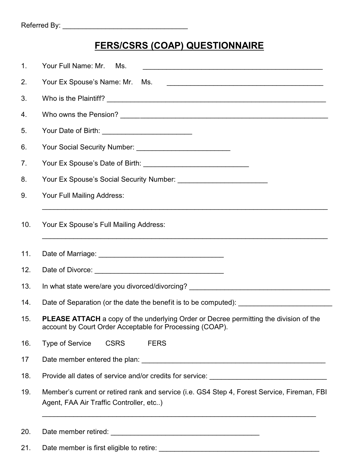## **FERS/CSRS (COAP) QUESTIONNAIRE**

| 1.  | Your Full Name: Mr.<br>Ms.                                                                                                                        |
|-----|---------------------------------------------------------------------------------------------------------------------------------------------------|
| 2.  | Your Ex Spouse's Name: Mr.<br>Ms.                                                                                                                 |
| 3.  |                                                                                                                                                   |
| 4.  |                                                                                                                                                   |
| 5.  | Your Date of Birth: _____________________________                                                                                                 |
| 6.  |                                                                                                                                                   |
| 7.  |                                                                                                                                                   |
| 8.  |                                                                                                                                                   |
| 9.  | Your Full Mailing Address:                                                                                                                        |
| 10. | Your Ex Spouse's Full Mailing Address:                                                                                                            |
| 11. |                                                                                                                                                   |
| 12. |                                                                                                                                                   |
| 13. | In what state were/are you divorced/divorcing? _________________________________                                                                  |
| 14. |                                                                                                                                                   |
| 15. | PLEASE ATTACH a copy of the underlying Order or Decree permitting the division of the<br>account by Court Order Acceptable for Processing (COAP). |
| 16. | <b>Type of Service</b><br><b>CSRS</b><br><b>FERS</b>                                                                                              |
| 17  |                                                                                                                                                   |
| 18. | Provide all dates of service and/or credits for service: ________________________                                                                 |
| 19. | Member's current or retired rank and service (i.e. GS4 Step 4, Forest Service, Fireman, FBI<br>Agent, FAA Air Traffic Controller, etc)            |
| 20. |                                                                                                                                                   |

21. Date member is first eligible to retire: \_\_\_\_\_\_\_\_\_\_\_\_\_\_\_\_\_\_\_\_\_\_\_\_\_\_\_\_\_\_\_\_\_\_\_\_\_\_\_\_\_